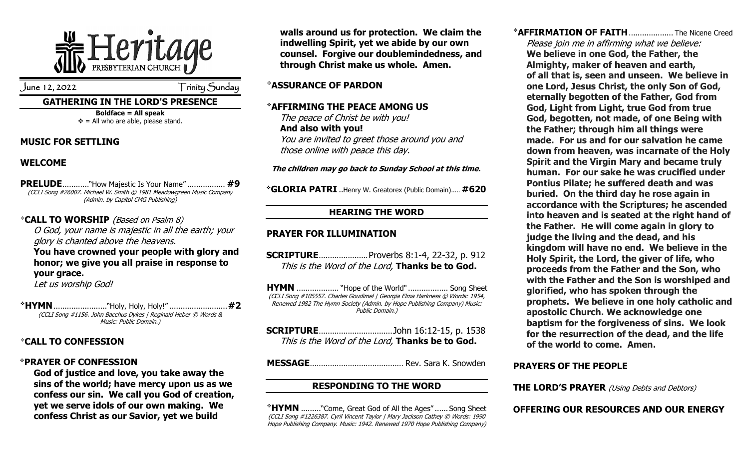

June 12, 2022 Trinity Sunday

#### **GATHERING IN THE LORD'S PRESENCE**

**Boldface = All speak**  $\div$  = All who are able, please stand.

#### **MUSIC FOR SETTLING**

# **WELCOME**

**PRELUDE**............"How Majestic Is Your Name" ................. **#9** (CCLI Song #26007. Michael W. Smith © 1981 Meadowgreen Music Company (Admin. by Capitol CMG Publishing)

## ❖**CALL TO WORSHIP** (Based on Psalm 8)

O God, your name is majestic in all the earth; your glory is chanted above the heavens.

#### **You have crowned your people with glory and honor; we give you all praise in response to your grace.**

Let us worship God!

❖**HYMN**........................"Holy, Holy, Holy!" ..........................**#2** (CCLI Song #1156. John Bacchus Dykes | Reginald Heber © Words & Music: Public Domain.)

## ❖**CALL TO CONFESSION**

#### ❖**PRAYER OF CONFESSION**

**God of justice and love, you take away the sins of the world; have mercy upon us as we confess our sin. We call you God of creation, yet we serve idols of our own making. We confess Christ as our Savior, yet we build** 

**walls around us for protection. We claim the indwelling Spirit, yet we abide by our own counsel. Forgive our doublemindedness, and through Christ make us whole. Amen.**

#### ❖**ASSURANCE OF PARDON**

#### ❖**AFFIRMING THE PEACE AMONG US**

The peace of Christ be with you! **And also with you!** You are invited to greet those around you and those online with peace this day.

#### **The children may go back to Sunday School at this time.**

❖**GLORIA PATRI** ..Henry W. Greatorex (Public Domain)..... **#620**

# **HEARING THE WORD**

## **PRAYER FOR ILLUMINATION**

**SCRIPTURE**......................Proverbs 8:1-4, 22-32, p. 912 This is the Word of the Lord, **Thanks be to God.**

**HYMN** ......................... "Hope of the World" ..................... Song Sheet (CCLI Song #105557. Charles Goudimel | Georgia Elma Harkness © Words: 1954, Renewed 1982 The Hymn Society (Admin. by Hope Publishing Company) Music: Public Domain.)

| This is the Word of the Lord, Thanks be to God. |  |
|-------------------------------------------------|--|

**MESSAGE**.......................................... Rev. Sara K. Snowden

## **RESPONDING TO THE WORD**

❖**HYMN** ........."Come, Great God of All the Ages" ...... Song Sheet (CCLI Song #1226387. Cyril Vincent Taylor | Mary Jackson Cathey © Words: 1990 Hope Publishing Company. Music: 1942. Renewed 1970 Hope Publishing Company) ❖**AFFIRMATION OF FAITH**.................... The Nicene Creed

Please join me in affirming what we believe: **We believe in one God, the Father, the Almighty, maker of heaven and earth, of all that is, seen and unseen. We believe in one Lord, Jesus Christ, the only Son of God, eternally begotten of the Father, God from God, Light from Light, true God from true God, begotten, not made, of one Being with the Father; through him all things were made. For us and for our salvation he came down from heaven, was incarnate of the Holy Spirit and the Virgin Mary and became truly human. For our sake he was crucified under Pontius Pilate; he suffered death and was buried. On the third day he rose again in accordance with the Scriptures; he ascended into heaven and is seated at the right hand of the Father. He will come again in glory to judge the living and the dead, and his kingdom will have no end. We believe in the Holy Spirit, the Lord, the giver of life, who proceeds from the Father and the Son, who with the Father and the Son is worshiped and glorified, who has spoken through the prophets. We believe in one holy catholic and apostolic Church. We acknowledge one baptism for the forgiveness of sins. We look for the resurrection of the dead, and the life of the world to come. Amen.**

#### **PRAYERS OF THE PEOPLE**

**THE LORD'S PRAYER** (Using Debts and Debtors)

## **OFFERING OUR RESOURCES AND OUR ENERGY**